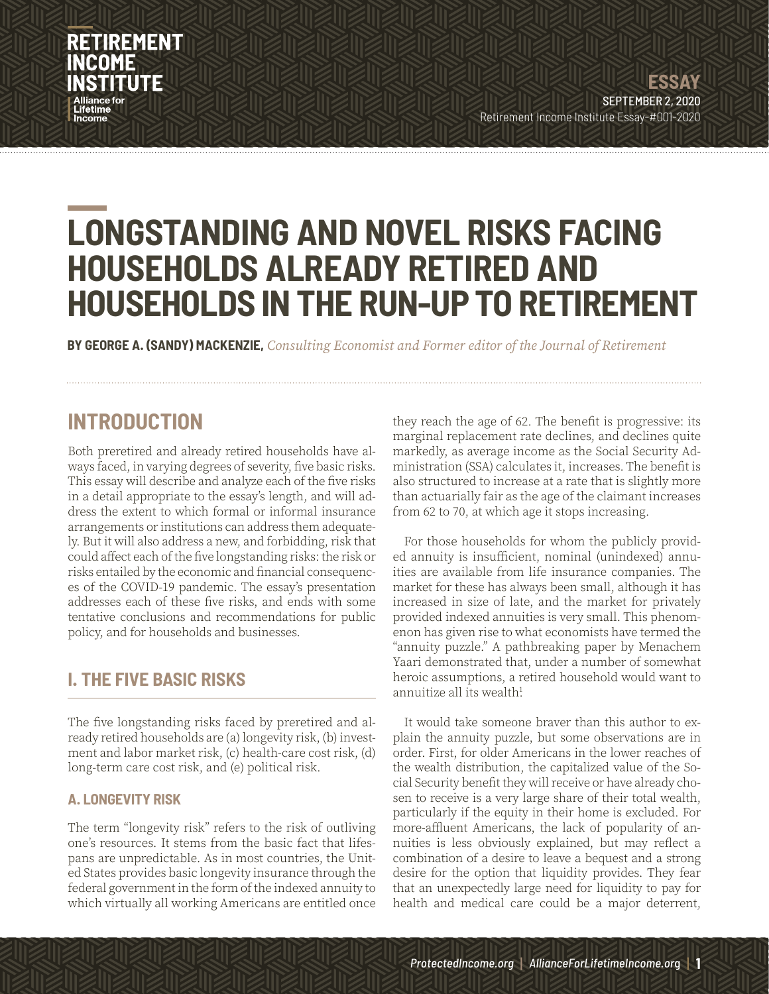## **RETIREMENT** INCOME

## **LONGSTANDING AND NOVEL RISKS FACING HOUSEHOLDS ALREADY RETIRED AND HOUSEHOLDS IN THE RUN-UP TO RETIREMENT**

**BY GEORGE A. (SANDY) MACKENZIE,** *Consulting Economist and Former editor of the Journal of Retirement*

### **INTRODUCTION**

Both preretired and already retired households have always faced, in varying degrees of severity, five basic risks. This essay will describe and analyze each of the five risks in a detail appropriate to the essay's length, and will address the extent to which formal or informal insurance arrangements or institutions can address them adequately. But it will also address a new, and forbidding, risk that could affect each of the five longstanding risks: the risk or risks entailed by the economic and financial consequences of the COVID-19 pandemic. The essay's presentation addresses each of these five risks, and ends with some tentative conclusions and recommendations for public policy, and for households and businesses.

### **I. THE FIVE BASIC RISKS**

The five longstanding risks faced by preretired and already retired households are (a) longevity risk, (b) investment and labor market risk, (c) health-care cost risk, (d) long-term care cost risk, and (e) political risk.

#### **A. LONGEVITY RISK**

The term "longevity risk" refers to the risk of outliving one's resources. It stems from the basic fact that lifespans are unpredictable. As in most countries, the United States provides basic longevity insurance through the federal government in the form of the indexed annuity to which virtually all working Americans are entitled once they reach the age of 62. The benefit is progressive: its marginal replacement rate declines, and declines quite markedly, as average income as the Social Security Administration (SSA) calculates it, increases. The benefit is also structured to increase at a rate that is slightly more than actuarially fair as the age of the claimant increases from 62 to 70, at which age it stops increasing.

For those households for whom the publicly provided annuity is insufficient, nominal (unindexed) annuities are available from life insurance companies. The market for these has always been small, although it has increased in size of late, and the market for privately provided indexed annuities is very small. This phenomenon has given rise to what economists have termed the "annuity puzzle." A pathbreaking paper by Menachem Yaari demonstrated that, under a number of somewhat heroic assumptions, a retired household would want to annuitize all its wealth $1$ 

It would take someone braver than this author to explain the annuity puzzle, but some observations are in order. First, for older Americans in the lower reaches of the wealth distribution, the capitalized value of the Social Security benefit they will receive or have already chosen to receive is a very large share of their total wealth, particularly if the equity in their home is excluded. For more-affluent Americans, the lack of popularity of annuities is less obviously explained, but may reflect a combination of a desire to leave a bequest and a strong desire for the option that liquidity provides. They fear that an unexpectedly large need for liquidity to pay for health and medical care could be a major deterrent,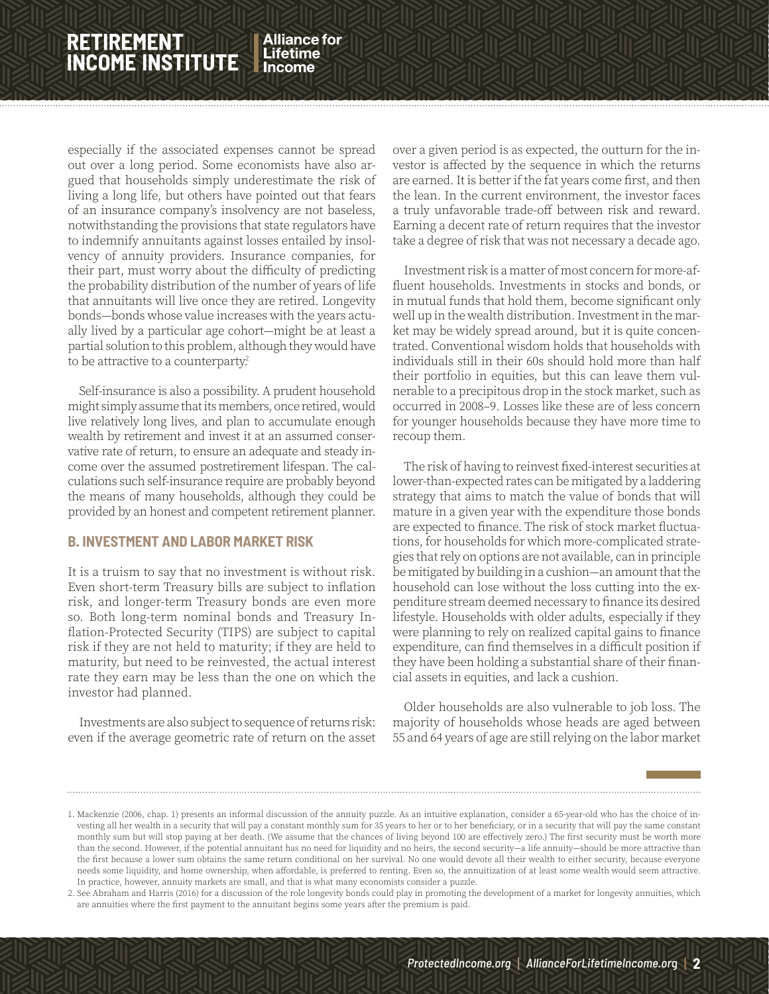**Alliance for** Lifetime

especially if the associated expenses cannot be spread out over a long period. Some economists have also argued that households simply underestimate the risk of living a long life, but others have pointed out that fears of an insurance company's insolvency are not baseless, notwithstanding the provisions that state regulators have to indemnify annuitants against losses entailed by insolvency of annuity providers. Insurance companies, for their part, must worry about the difficulty of predicting the probability distribution of the number of years of life that annuitants will live once they are retired. Longevity bonds—bonds whose value increases with the years actually lived by a particular age cohort—might be at least a partial solution to this problem, although they would have to be attractive to a counterparty?

Self-insurance is also a possibility. A prudent household might simply assume that its members, once retired, would live relatively long lives, and plan to accumulate enough wealth by retirement and invest it at an assumed conservative rate of return, to ensure an adequate and steady income over the assumed postretirement lifespan. The calculations such self-insurance require are probably beyond the means of many households, although they could be provided by an honest and competent retirement planner.

#### **B. INVESTMENT AND LABOR MARKET RISK**

It is a truism to say that no investment is without risk. Even short-term Treasury bills are subject to inflation risk, and longer-term Treasury bonds are even more so. Both long-term nominal bonds and Treasury Inflation-Protected Security (TIPS) are subject to capital risk if they are not held to maturity; if they are held to maturity, but need to be reinvested, the actual interest rate they earn may be less than the one on which the investor had planned.

Investments are also subject to sequence of returns risk: even if the average geometric rate of return on the asset over a given period is as expected, the outturn for the investor is affected by the sequence in which the returns are earned. It is better if the fat years come first, and then the lean. In the current environment, the investor faces a truly unfavorable trade-off between risk and reward. Earning a decent rate of return requires that the investor take a degree of risk that was not necessary a decade ago.

 $\mathbb Z$ in $\mathbb Z$ in $\mathbb Z$ in

Investment risk is a matter of most concern for more-affluent households. Investments in stocks and bonds, or in mutual funds that hold them, become significant only well up in the wealth distribution. Investment in the market may be widely spread around, but it is quite concentrated. Conventional wisdom holds that households with individuals still in their 60s should hold more than half their portfolio in equities, but this can leave them vulnerable to a precipitous drop in the stock market, such as occurred in 2008–9. Losses like these are of less concern for younger households because they have more time to recoup them.

The risk of having to reinvest fixed-interest securities at lower-than-expected rates can be mitigated by a laddering strategy that aims to match the value of bonds that will mature in a given year with the expenditure those bonds are expected to finance. The risk of stock market fluctuations, for households for which more-complicated strategies that rely on options are not available, can in principle be mitigated by building in a cushion—an amount that the household can lose without the loss cutting into the expenditure stream deemed necessary to finance its desired lifestyle. Households with older adults, especially if they were planning to rely on realized capital gains to finance expenditure, can find themselves in a difficult position if they have been holding a substantial share of their financial assets in equities, and lack a cushion.

Older households are also vulnerable to job loss. The majority of households whose heads are aged between 55 and 64 years of age are still relying on the labor market

<sup>1.</sup> Mackenzie (2006, chap. 1) presents an informal discussion of the annuity puzzle. As an intuitive explanation, consider a 65-year-old who has the choice of investing all her wealth in a security that will pay a constant monthly sum for 35 years to her or to her beneficiary, or in a security that will pay the same constant monthly sum but will stop paying at her death. (We assume that the chances of living beyond 100 are effectively zero.) The first security must be worth more than the second. However, if the potential annuitant has no need for liquidity and no heirs, the second security—a life annuity—should be more attractive than the first because a lower sum obtains the same return conditional on her survival. No one would devote all their wealth to either security, because everyone needs some liquidity, and home ownership, when affordable, is preferred to renting. Even so, the annuitization of at least some wealth would seem attractive. In practice, however, annuity markets are small, and that is what many economists consider a puzzle.

<sup>2.</sup> See Abraham and Harris (2016) for a discussion of the role longevity bonds could play in promoting the development of a market for longevity annuities, which are annuities where the first payment to the annuitant begins some years after the premium is paid.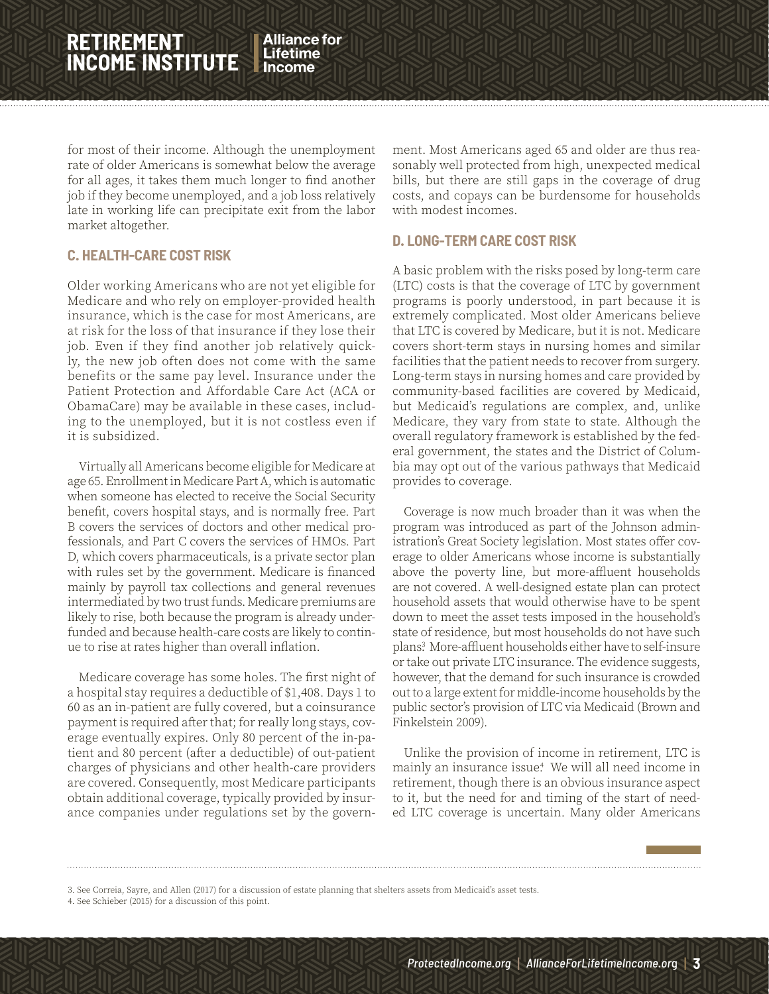**Alliance for** Lifetime

for most of their income. Although the unemployment rate of older Americans is somewhat below the average for all ages, it takes them much longer to find another job if they become unemployed, and a job loss relatively late in working life can precipitate exit from the labor market altogether.

#### **C. HEALTH-CARE COST RISK**

Older working Americans who are not yet eligible for Medicare and who rely on employer-provided health insurance, which is the case for most Americans, are at risk for the loss of that insurance if they lose their job. Even if they find another job relatively quickly, the new job often does not come with the same benefits or the same pay level. Insurance under the Patient Protection and Affordable Care Act (ACA or ObamaCare) may be available in these cases, including to the unemployed, but it is not costless even if it is subsidized.

Virtually all Americans become eligible for Medicare at age 65. Enrollment in Medicare Part A, which is automatic when someone has elected to receive the Social Security benefit, covers hospital stays, and is normally free. Part B covers the services of doctors and other medical professionals, and Part C covers the services of HMOs. Part D, which covers pharmaceuticals, is a private sector plan with rules set by the government. Medicare is financed mainly by payroll tax collections and general revenues intermediated by two trust funds. Medicare premiums are likely to rise, both because the program is already underfunded and because health-care costs are likely to continue to rise at rates higher than overall inflation.

Medicare coverage has some holes. The first night of a hospital stay requires a deductible of \$1,408. Days 1 to 60 as an in-patient are fully covered, but a coinsurance payment is required after that; for really long stays, coverage eventually expires. Only 80 percent of the in-patient and 80 percent (after a deductible) of out-patient charges of physicians and other health-care providers are covered. Consequently, most Medicare participants obtain additional coverage, typically provided by insurance companies under regulations set by the government. Most Americans aged 65 and older are thus reasonably well protected from high, unexpected medical bills, but there are still gaps in the coverage of drug costs, and copays can be burdensome for households with modest incomes.

 $\mathbb Z$ in $\mathbb Z$ in $\mathbb Z$ in

#### **D. LONG-TERM CARE COST RISK**

A basic problem with the risks posed by long-term care (LTC) costs is that the coverage of LTC by government programs is poorly understood, in part because it is extremely complicated. Most older Americans believe that LTC is covered by Medicare, but it is not. Medicare covers short-term stays in nursing homes and similar facilities that the patient needs to recover from surgery. Long-term stays in nursing homes and care provided by community-based facilities are covered by Medicaid, but Medicaid's regulations are complex, and, unlike Medicare, they vary from state to state. Although the overall regulatory framework is established by the federal government, the states and the District of Columbia may opt out of the various pathways that Medicaid provides to coverage.

Coverage is now much broader than it was when the program was introduced as part of the Johnson administration's Great Society legislation. Most states offer coverage to older Americans whose income is substantially above the poverty line, but more-affluent households are not covered. A well-designed estate plan can protect household assets that would otherwise have to be spent down to meet the asset tests imposed in the household's state of residence, but most households do not have such plans.<sup>3</sup> More-affluent households either have to self-insure or take out private LTC insurance. The evidence suggests, however, that the demand for such insurance is crowded out to a large extent for middle-income households by the public sector's provision of LTC via Medicaid (Brown and Finkelstein 2009).

Unlike the provision of income in retirement, LTC is mainly an insurance issue<sup>4</sup> We will all need income in retirement, though there is an obvious insurance aspect to it, but the need for and timing of the start of needed LTC coverage is uncertain. Many older Americans

<sup>3.</sup> See Correia, Sayre, and Allen (2017) for a discussion of estate planning that shelters assets from Medicaid's asset tests.

<sup>4.</sup> See Schieber (2015) for a discussion of this point.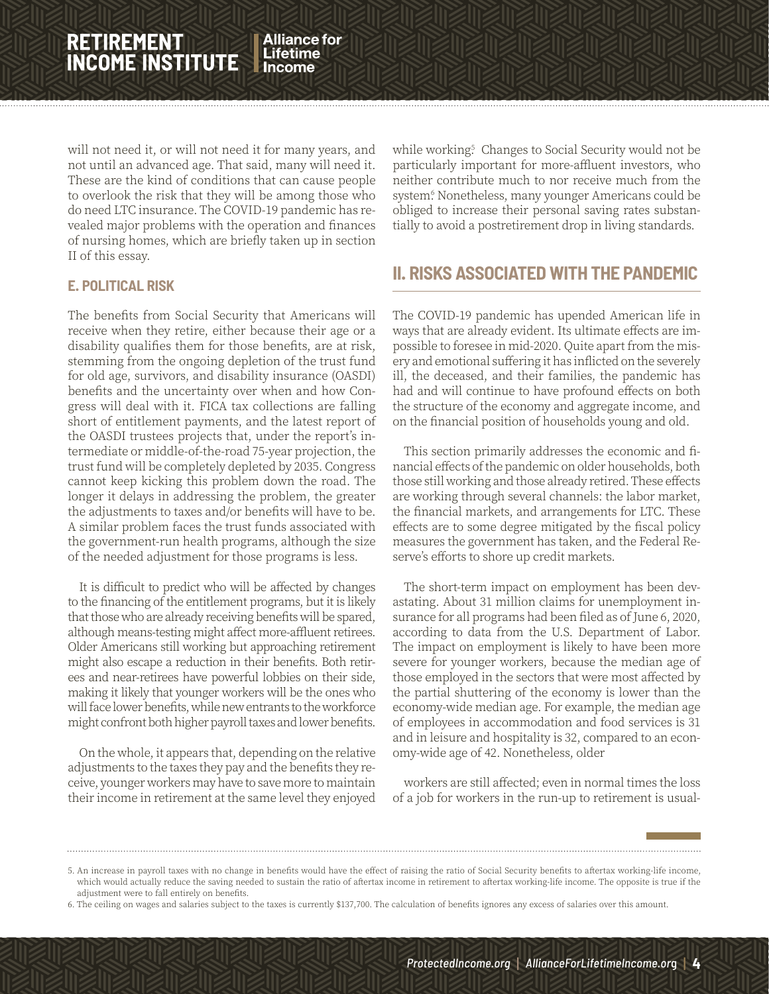**Alliance for** Lifetime

will not need it, or will not need it for many years, and not until an advanced age. That said, many will need it. These are the kind of conditions that can cause people to overlook the risk that they will be among those who do need LTC insurance. The COVID-19 pandemic has revealed major problems with the operation and finances of nursing homes, which are briefly taken up in section II of this essay.

#### **E. POLITICAL RISK**

The benefits from Social Security that Americans will receive when they retire, either because their age or a disability qualifies them for those benefits, are at risk, stemming from the ongoing depletion of the trust fund for old age, survivors, and disability insurance (OASDI) benefits and the uncertainty over when and how Congress will deal with it. FICA tax collections are falling short of entitlement payments, and the latest report of the OASDI trustees projects that, under the report's intermediate or middle-of-the-road 75-year projection, the trust fund will be completely depleted by 2035. Congress cannot keep kicking this problem down the road. The longer it delays in addressing the problem, the greater the adjustments to taxes and/or benefits will have to be. A similar problem faces the trust funds associated with the government-run health programs, although the size of the needed adjustment for those programs is less.

It is difficult to predict who will be affected by changes to the financing of the entitlement programs, but it is likely that those who are already receiving benefits will be spared, although means-testing might affect more-affluent retirees. Older Americans still working but approaching retirement might also escape a reduction in their benefits. Both retirees and near-retirees have powerful lobbies on their side, making it likely that younger workers will be the ones who will face lower benefits, while new entrants to the workforce might confront both higher payroll taxes and lower benefits.

On the whole, it appears that, depending on the relative adjustments to the taxes they pay and the benefits they receive, younger workers may have to save more to maintain their income in retirement at the same level they enjoyed

while working<sup>5</sup> Changes to Social Security would not be particularly important for more-affluent investors, who neither contribute much to nor receive much from the system. Nonetheless, many younger Americans could be obliged to increase their personal saving rates substantially to avoid a postretirement drop in living standards.

 $\mathbb Z$ in $\mathbb Z$ in $\mathbb Z$ in

### **II. RISKS ASSOCIATED WITH THE PANDEMIC**

The COVID-19 pandemic has upended American life in ways that are already evident. Its ultimate effects are impossible to foresee in mid-2020. Quite apart from the misery and emotional suffering it has inflicted on the severely ill, the deceased, and their families, the pandemic has had and will continue to have profound effects on both the structure of the economy and aggregate income, and on the financial position of households young and old.

This section primarily addresses the economic and financial effects of the pandemic on older households, both those still working and those already retired. These effects are working through several channels: the labor market, the financial markets, and arrangements for LTC. These effects are to some degree mitigated by the fiscal policy measures the government has taken, and the Federal Reserve's efforts to shore up credit markets.

The short-term impact on employment has been devastating. About 31 million claims for unemployment insurance for all programs had been filed as of June 6, 2020, according to data from the U.S. Department of Labor. The impact on employment is likely to have been more severe for younger workers, because the median age of those employed in the sectors that were most affected by the partial shuttering of the economy is lower than the economy-wide median age. For example, the median age of employees in accommodation and food services is 31 and in leisure and hospitality is 32, compared to an economy-wide age of 42. Nonetheless, older

workers are still affected; even in normal times the loss of a job for workers in the run-up to retirement is usual-

<sup>5.</sup> An increase in payroll taxes with no change in benefits would have the effect of raising the ratio of Social Security benefits to aftertax working-life income, which would actually reduce the saving needed to sustain the ratio of aftertax income in retirement to aftertax working-life income. The opposite is true if the adjustment were to fall entirely on benefits.

<sup>6.</sup> The ceiling on wages and salaries subject to the taxes is currently \$137,700. The calculation of benefits ignores any excess of salaries over this amount.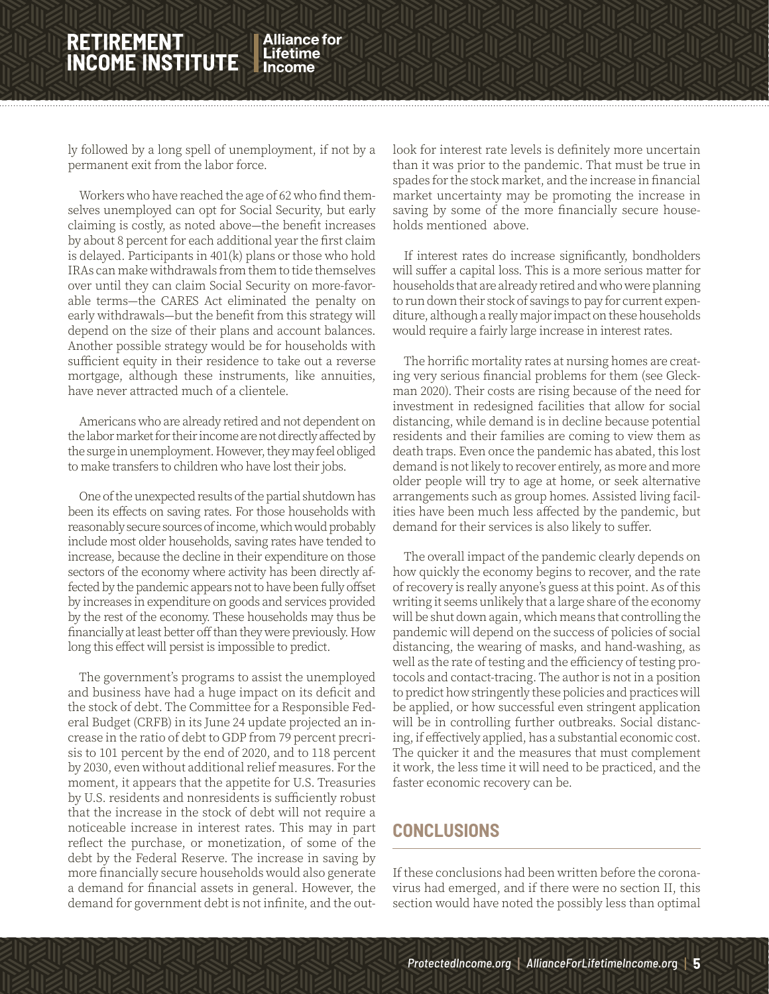Alliance for Lifetime

ly followed by a long spell of unemployment, if not by a permanent exit from the labor force.

Workers who have reached the age of 62 who find themselves unemployed can opt for Social Security, but early claiming is costly, as noted above—the benefit increases by about 8 percent for each additional year the first claim is delayed. Participants in 401(k) plans or those who hold IRAs can make withdrawals from them to tide themselves over until they can claim Social Security on more-favorable terms—the CARES Act eliminated the penalty on early withdrawals—but the benefit from this strategy will depend on the size of their plans and account balances. Another possible strategy would be for households with sufficient equity in their residence to take out a reverse mortgage, although these instruments, like annuities, have never attracted much of a clientele.

Americans who are already retired and not dependent on the labor market for their income are not directly affected by the surge in unemployment. However, they may feel obliged to make transfers to children who have lost their jobs.

One of the unexpected results of the partial shutdown has been its effects on saving rates. For those households with reasonably secure sources of income, which would probably include most older households, saving rates have tended to increase, because the decline in their expenditure on those sectors of the economy where activity has been directly affected by the pandemic appears not to have been fully offset by increases in expenditure on goods and services provided by the rest of the economy. These households may thus be financially at least better off than they were previously. How long this effect will persist is impossible to predict.

The government's programs to assist the unemployed and business have had a huge impact on its deficit and the stock of debt. The Committee for a Responsible Federal Budget (CRFB) in its June 24 update projected an increase in the ratio of debt to GDP from 79 percent precrisis to 101 percent by the end of 2020, and to 118 percent by 2030, even without additional relief measures. For the moment, it appears that the appetite for U.S. Treasuries by U.S. residents and nonresidents is sufficiently robust that the increase in the stock of debt will not require a noticeable increase in interest rates. This may in part reflect the purchase, or monetization, of some of the debt by the Federal Reserve. The increase in saving by more financially secure households would also generate a demand for financial assets in general. However, the demand for government debt is not infinite, and the outlook for interest rate levels is definitely more uncertain than it was prior to the pandemic. That must be true in spades for the stock market, and the increase in financial market uncertainty may be promoting the increase in saving by some of the more financially secure households mentioned above.

 $\mathbb Z$ in $\mathbb Z$ in $\mathbb Z$ in

If interest rates do increase significantly, bondholders will suffer a capital loss. This is a more serious matter for households that are already retired and who were planning to run down their stock of savings to pay for current expenditure, although a really major impact on these households would require a fairly large increase in interest rates.

The horrific mortality rates at nursing homes are creating very serious financial problems for them (see Gleckman 2020). Their costs are rising because of the need for investment in redesigned facilities that allow for social distancing, while demand is in decline because potential residents and their families are coming to view them as death traps. Even once the pandemic has abated, this lost demand is not likely to recover entirely, as more and more older people will try to age at home, or seek alternative arrangements such as group homes. Assisted living facilities have been much less affected by the pandemic, but demand for their services is also likely to suffer.

The overall impact of the pandemic clearly depends on how quickly the economy begins to recover, and the rate of recovery is really anyone's guess at this point. As of this writing it seems unlikely that a large share of the economy will be shut down again, which means that controlling the pandemic will depend on the success of policies of social distancing, the wearing of masks, and hand-washing, as well as the rate of testing and the efficiency of testing protocols and contact-tracing. The author is not in a position to predict how stringently these policies and practices will be applied, or how successful even stringent application will be in controlling further outbreaks. Social distancing, if effectively applied, has a substantial economic cost. The quicker it and the measures that must complement it work, the less time it will need to be practiced, and the faster economic recovery can be.

### **CONCLUSIONS**

If these conclusions had been written before the coronavirus had emerged, and if there were no section II, this section would have noted the possibly less than optimal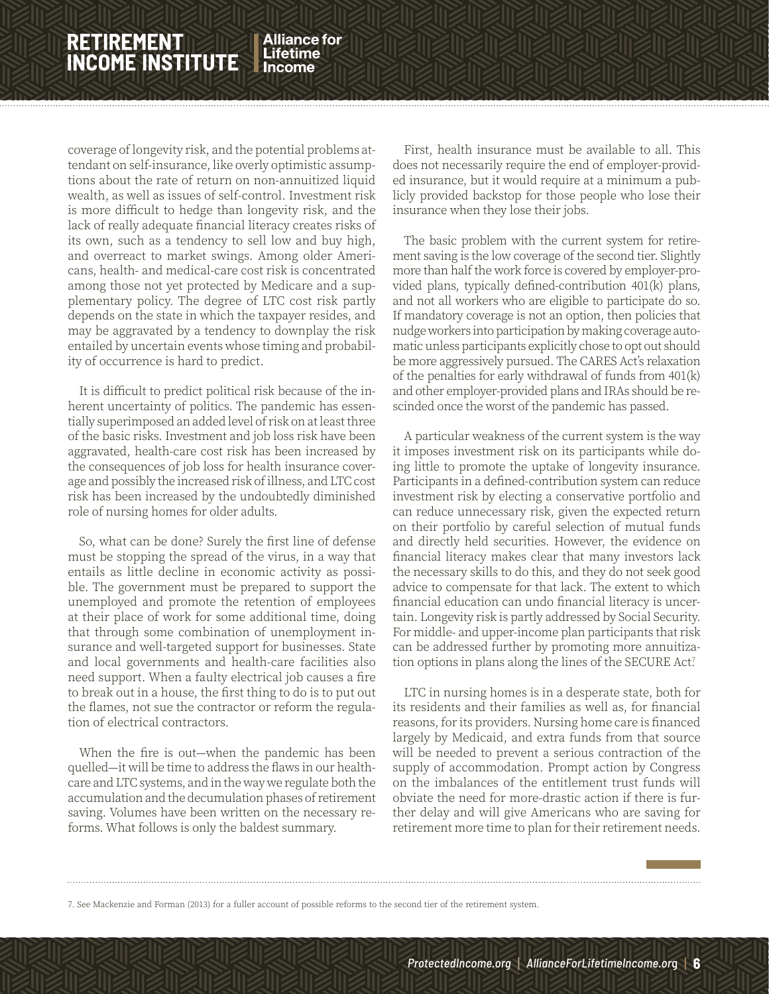Alliance for Lifetime

coverage of longevity risk, and the potential problems attendant on self-insurance, like overly optimistic assumptions about the rate of return on non-annuitized liquid wealth, as well as issues of self-control. Investment risk is more difficult to hedge than longevity risk, and the lack of really adequate financial literacy creates risks of its own, such as a tendency to sell low and buy high, and overreact to market swings. Among older Americans, health- and medical-care cost risk is concentrated among those not yet protected by Medicare and a supplementary policy. The degree of LTC cost risk partly depends on the state in which the taxpayer resides, and may be aggravated by a tendency to downplay the risk entailed by uncertain events whose timing and probability of occurrence is hard to predict.

It is difficult to predict political risk because of the inherent uncertainty of politics. The pandemic has essentially superimposed an added level of risk on at least three of the basic risks. Investment and job loss risk have been aggravated, health-care cost risk has been increased by the consequences of job loss for health insurance coverage and possibly the increased risk of illness, and LTC cost risk has been increased by the undoubtedly diminished role of nursing homes for older adults.

So, what can be done? Surely the first line of defense must be stopping the spread of the virus, in a way that entails as little decline in economic activity as possible. The government must be prepared to support the unemployed and promote the retention of employees at their place of work for some additional time, doing that through some combination of unemployment insurance and well-targeted support for businesses. State and local governments and health-care facilities also need support. When a faulty electrical job causes a fire to break out in a house, the first thing to do is to put out the flames, not sue the contractor or reform the regulation of electrical contractors.

When the fire is out—when the pandemic has been quelled—it will be time to address the flaws in our healthcare and LTC systems, and in the way we regulate both the accumulation and the decumulation phases of retirement saving. Volumes have been written on the necessary reforms. What follows is only the baldest summary.

First, health insurance must be available to all. This does not necessarily require the end of employer-provided insurance, but it would require at a minimum a publicly provided backstop for those people who lose their insurance when they lose their jobs.

 $\mathbb Z$ in $\mathbb Z$ in $\mathbb Z$ in

The basic problem with the current system for retirement saving is the low coverage of the second tier. Slightly more than half the work force is covered by employer-provided plans, typically defined-contribution 401(k) plans, and not all workers who are eligible to participate do so. If mandatory coverage is not an option, then policies that nudge workers into participation by making coverage automatic unless participants explicitly chose to opt out should be more aggressively pursued. The CARES Act's relaxation of the penalties for early withdrawal of funds from 401(k) and other employer-provided plans and IRAs should be rescinded once the worst of the pandemic has passed.

A particular weakness of the current system is the way it imposes investment risk on its participants while doing little to promote the uptake of longevity insurance. Participants in a defined-contribution system can reduce investment risk by electing a conservative portfolio and can reduce unnecessary risk, given the expected return on their portfolio by careful selection of mutual funds and directly held securities. However, the evidence on financial literacy makes clear that many investors lack the necessary skills to do this, and they do not seek good advice to compensate for that lack. The extent to which financial education can undo financial literacy is uncertain. Longevity risk is partly addressed by Social Security. For middle- and upper-income plan participants that risk can be addressed further by promoting more annuitization options in plans along the lines of the SECURE Act?

LTC in nursing homes is in a desperate state, both for its residents and their families as well as, for financial reasons, for its providers. Nursing home care is financed largely by Medicaid, and extra funds from that source will be needed to prevent a serious contraction of the supply of accommodation. Prompt action by Congress on the imbalances of the entitlement trust funds will obviate the need for more-drastic action if there is further delay and will give Americans who are saving for retirement more time to plan for their retirement needs.

7. See Mackenzie and Forman (2013) for a fuller account of possible reforms to the second tier of the retirement system.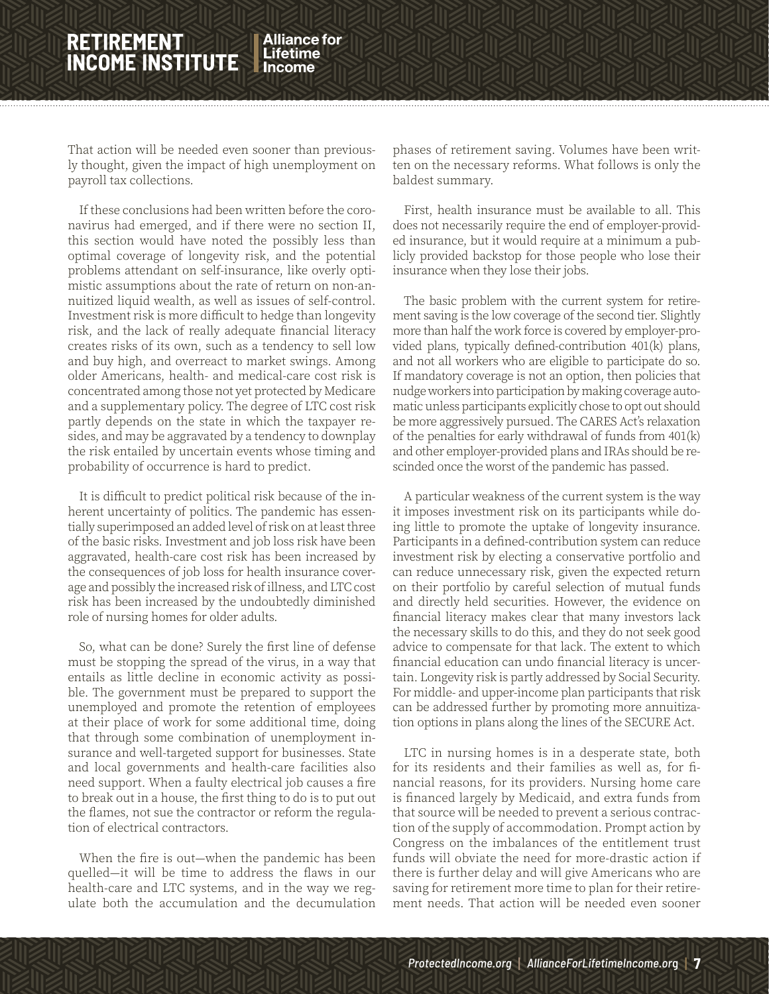That action will be needed even sooner than previously thought, given the impact of high unemployment on payroll tax collections.

If these conclusions had been written before the coronavirus had emerged, and if there were no section II, this section would have noted the possibly less than optimal coverage of longevity risk, and the potential problems attendant on self-insurance, like overly optimistic assumptions about the rate of return on non-annuitized liquid wealth, as well as issues of self-control. Investment risk is more difficult to hedge than longevity risk, and the lack of really adequate financial literacy creates risks of its own, such as a tendency to sell low and buy high, and overreact to market swings. Among older Americans, health- and medical-care cost risk is concentrated among those not yet protected by Medicare and a supplementary policy. The degree of LTC cost risk partly depends on the state in which the taxpayer resides, and may be aggravated by a tendency to downplay the risk entailed by uncertain events whose timing and probability of occurrence is hard to predict.

It is difficult to predict political risk because of the inherent uncertainty of politics. The pandemic has essentially superimposed an added level of risk on at least three of the basic risks. Investment and job loss risk have been aggravated, health-care cost risk has been increased by the consequences of job loss for health insurance coverage and possibly the increased risk of illness, and LTC cost risk has been increased by the undoubtedly diminished role of nursing homes for older adults.

So, what can be done? Surely the first line of defense must be stopping the spread of the virus, in a way that entails as little decline in economic activity as possible. The government must be prepared to support the unemployed and promote the retention of employees at their place of work for some additional time, doing that through some combination of unemployment insurance and well-targeted support for businesses. State and local governments and health-care facilities also need support. When a faulty electrical job causes a fire to break out in a house, the first thing to do is to put out the flames, not sue the contractor or reform the regulation of electrical contractors.

When the fire is out—when the pandemic has been quelled—it will be time to address the flaws in our health-care and LTC systems, and in the way we regulate both the accumulation and the decumulation

phases of retirement saving. Volumes have been written on the necessary reforms. What follows is only the baldest summary.

 $\mathbb Z$ in $\mathbb Z$ in $\mathbb Z$ in

First, health insurance must be available to all. This does not necessarily require the end of employer-provided insurance, but it would require at a minimum a publicly provided backstop for those people who lose their insurance when they lose their jobs.

The basic problem with the current system for retirement saving is the low coverage of the second tier. Slightly more than half the work force is covered by employer-provided plans, typically defined-contribution 401(k) plans, and not all workers who are eligible to participate do so. If mandatory coverage is not an option, then policies that nudge workers into participation by making coverage automatic unless participants explicitly chose to opt out should be more aggressively pursued. The CARES Act's relaxation of the penalties for early withdrawal of funds from 401(k) and other employer-provided plans and IRAs should be rescinded once the worst of the pandemic has passed.

A particular weakness of the current system is the way it imposes investment risk on its participants while doing little to promote the uptake of longevity insurance. Participants in a defined-contribution system can reduce investment risk by electing a conservative portfolio and can reduce unnecessary risk, given the expected return on their portfolio by careful selection of mutual funds and directly held securities. However, the evidence on financial literacy makes clear that many investors lack the necessary skills to do this, and they do not seek good advice to compensate for that lack. The extent to which financial education can undo financial literacy is uncertain. Longevity risk is partly addressed by Social Security. For middle- and upper-income plan participants that risk can be addressed further by promoting more annuitization options in plans along the lines of the SECURE Act.

LTC in nursing homes is in a desperate state, both for its residents and their families as well as, for financial reasons, for its providers. Nursing home care is financed largely by Medicaid, and extra funds from that source will be needed to prevent a serious contraction of the supply of accommodation. Prompt action by Congress on the imbalances of the entitlement trust funds will obviate the need for more-drastic action if there is further delay and will give Americans who are saving for retirement more time to plan for their retirement needs. That action will be needed even sooner